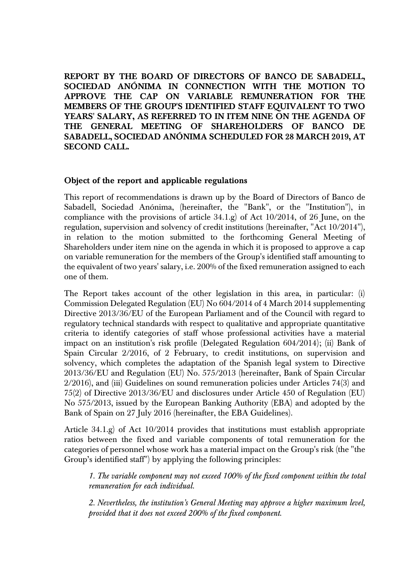**REPORT BY THE BOARD OF DIRECTORS OF BANCO DE SABADELL, SOCIEDAD ANÓNIMA IN CONNECTION WITH THE MOTION TO APPROVE THE CAP ON VARIABLE REMUNERATION FOR THE MEMBERS OF THE GROUP'S IDENTIFIED STAFF EQUIVALENT TO TWO YEARS' SALARY, AS REFERRED TO IN ITEM NINE ON THE AGENDA OF THE GENERAL MEETING OF SHAREHOLDERS OF BANCO DE SABADELL, SOCIEDAD ANÓNIMA SCHEDULED FOR 28 MARCH 2019, AT SECOND CALL.**

## **Object of the report and applicable regulations**

This report of recommendations is drawn up by the Board of Directors of Banco de Sabadell, Sociedad Anónima, (hereinafter, the "Bank", or the "Institution"), in compliance with the provisions of article  $34.1$ .g) of Act  $10/2014$ , of 26 June, on the regulation, supervision and solvency of credit institutions (hereinafter, "Act 10/2014"), in relation to the motion submitted to the forthcoming General Meeting of Shareholders under item nine on the agenda in which it is proposed to approve a cap on variable remuneration for the members of the Group's identified staff amounting to the equivalent of two years' salary, i.e. 200% of the fixed remuneration assigned to each one of them.

The Report takes account of the other legislation in this area, in particular: (i) Commission Delegated Regulation (EU) No 604/2014 of 4 March 2014 supplementing Directive 2013/36/EU of the European Parliament and of the Council with regard to regulatory technical standards with respect to qualitative and appropriate quantitative criteria to identify categories of staff whose professional activities have a material impact on an institution's risk profile (Delegated Regulation 604/2014); (ii) Bank of Spain Circular 2/2016, of 2 February, to credit institutions, on supervision and solvency, which completes the adaptation of the Spanish legal system to Directive 2013/36/EU and Regulation (EU) No. 575/2013 (hereinafter, Bank of Spain Circular 2/2016), and (iii) Guidelines on sound remuneration policies under Articles 74(3) and 75(2) of Directive 2013/36/EU and disclosures under Article 450 of Regulation (EU) No 575/2013, issued by the European Banking Authority (EBA) and adopted by the Bank of Spain on 27 July 2016 (hereinafter, the EBA Guidelines).

Article 34.1.g) of Act 10/2014 provides that institutions must establish appropriate ratios between the fixed and variable components of total remuneration for the categories of personnel whose work has a material impact on the Group's risk (the "the Group's identified staff") by applying the following principles:

*1. The variable component may not exceed 100% of the fixed component within the total remuneration for each individual.* 

*2. Nevertheless, the institution's General Meeting may approve a higher maximum level, provided that it does not exceed 200% of the fixed component*.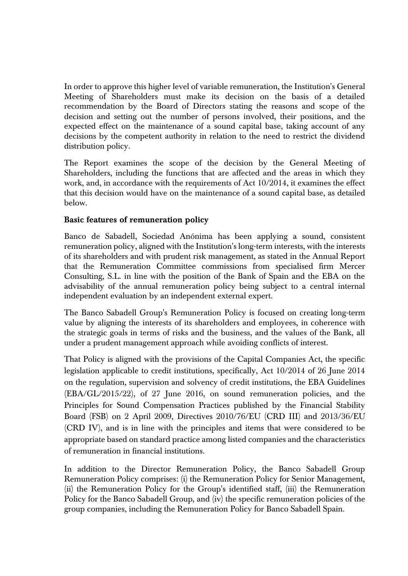In order to approve this higher level of variable remuneration, the Institution's General Meeting of Shareholders must make its decision on the basis of a detailed recommendation by the Board of Directors stating the reasons and scope of the decision and setting out the number of persons involved, their positions, and the expected effect on the maintenance of a sound capital base, taking account of any decisions by the competent authority in relation to the need to restrict the dividend distribution policy.

The Report examines the scope of the decision by the General Meeting of Shareholders, including the functions that are affected and the areas in which they work, and, in accordance with the requirements of Act 10/2014, it examines the effect that this decision would have on the maintenance of a sound capital base, as detailed below.

## **Basic features of remuneration policy**

Banco de Sabadell, Sociedad Anónima has been applying a sound, consistent remuneration policy, aligned with the Institution's long-term interests, with the interests of its shareholders and with prudent risk management, as stated in the Annual Report that the Remuneration Committee commissions from specialised firm Mercer Consulting, S.L. in line with the position of the Bank of Spain and the EBA on the advisability of the annual remuneration policy being subject to a central internal independent evaluation by an independent external expert.

The Banco Sabadell Group's Remuneration Policy is focused on creating long-term value by aligning the interests of its shareholders and employees, in coherence with the strategic goals in terms of risks and the business, and the values of the Bank, all under a prudent management approach while avoiding conflicts of interest.

That Policy is aligned with the provisions of the Capital Companies Act, the specific legislation applicable to credit institutions, specifically, Act 10/2014 of 26 June 2014 on the regulation, supervision and solvency of credit institutions, the EBA Guidelines (EBA/GL/2015/22), of 27 June 2016, on sound remuneration policies, and the Principles for Sound Compensation Practices published by the Financial Stability Board (FSB) on 2 April 2009, Directives 2010/76/EU (CRD III) and 2013/36/EU (CRD IV), and is in line with the principles and items that were considered to be appropriate based on standard practice among listed companies and the characteristics of remuneration in financial institutions.

In addition to the Director Remuneration Policy, the Banco Sabadell Group Remuneration Policy comprises: (i) the Remuneration Policy for Senior Management, (ii) the Remuneration Policy for the Group's identified staff, (iii) the Remuneration Policy for the Banco Sabadell Group, and (iv) the specific remuneration policies of the group companies, including the Remuneration Policy for Banco Sabadell Spain.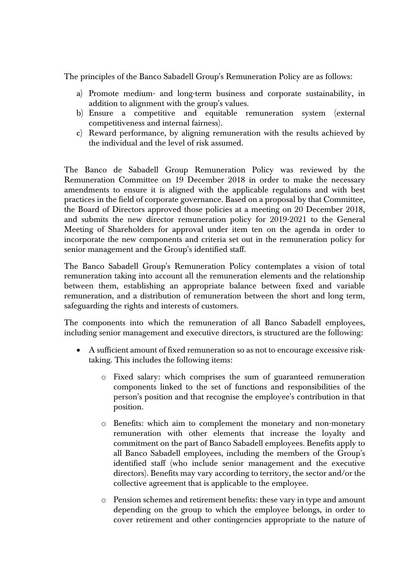The principles of the Banco Sabadell Group's Remuneration Policy are as follows:

- a) Promote medium- and long-term business and corporate sustainability, in addition to alignment with the group's values.
- b) Ensure a competitive and equitable remuneration system (external competitiveness and internal fairness).
- c) Reward performance, by aligning remuneration with the results achieved by the individual and the level of risk assumed.

The Banco de Sabadell Group Remuneration Policy was reviewed by the Remuneration Committee on 19 December 2018 in order to make the necessary amendments to ensure it is aligned with the applicable regulations and with best practices in the field of corporate governance. Based on a proposal by that Committee, the Board of Directors approved those policies at a meeting on 20 December 2018, and submits the new director remuneration policy for 2019-2021 to the General Meeting of Shareholders for approval under item ten on the agenda in order to incorporate the new components and criteria set out in the remuneration policy for senior management and the Group's identified staff.

The Banco Sabadell Group's Remuneration Policy contemplates a vision of total remuneration taking into account all the remuneration elements and the relationship between them, establishing an appropriate balance between fixed and variable remuneration, and a distribution of remuneration between the short and long term, safeguarding the rights and interests of customers.

The components into which the remuneration of all Banco Sabadell employees, including senior management and executive directors, is structured are the following:

- A sufficient amount of fixed remuneration so as not to encourage excessive risktaking. This includes the following items:
	- o Fixed salary: which comprises the sum of guaranteed remuneration components linked to the set of functions and responsibilities of the person's position and that recognise the employee's contribution in that position.
	- o Benefits: which aim to complement the monetary and non-monetary remuneration with other elements that increase the loyalty and commitment on the part of Banco Sabadell employees. Benefits apply to all Banco Sabadell employees, including the members of the Group's identified staff (who include senior management and the executive directors). Benefits may vary according to territory, the sector and/or the collective agreement that is applicable to the employee.
	- o Pension schemes and retirement benefits: these vary in type and amount depending on the group to which the employee belongs, in order to cover retirement and other contingencies appropriate to the nature of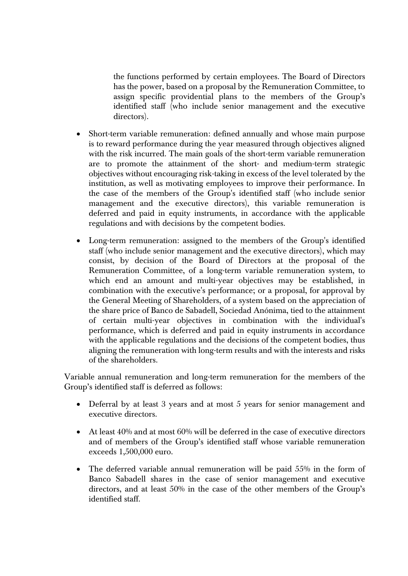the functions performed by certain employees. The Board of Directors has the power, based on a proposal by the Remuneration Committee, to assign specific providential plans to the members of the Group's identified staff (who include senior management and the executive directors).

- Short-term variable remuneration: defined annually and whose main purpose is to reward performance during the year measured through objectives aligned with the risk incurred. The main goals of the short-term variable remuneration are to promote the attainment of the short- and medium-term strategic objectives without encouraging risk-taking in excess of the level tolerated by the institution, as well as motivating employees to improve their performance. In the case of the members of the Group's identified staff (who include senior management and the executive directors), this variable remuneration is deferred and paid in equity instruments, in accordance with the applicable regulations and with decisions by the competent bodies.
- Long-term remuneration: assigned to the members of the Group's identified staff (who include senior management and the executive directors), which may consist, by decision of the Board of Directors at the proposal of the Remuneration Committee, of a long-term variable remuneration system, to which end an amount and multi-year objectives may be established, in combination with the executive's performance; or a proposal, for approval by the General Meeting of Shareholders, of a system based on the appreciation of the share price of Banco de Sabadell, Sociedad Anónima, tied to the attainment of certain multi-year objectives in combination with the individual's performance, which is deferred and paid in equity instruments in accordance with the applicable regulations and the decisions of the competent bodies, thus aligning the remuneration with long-term results and with the interests and risks of the shareholders.

Variable annual remuneration and long-term remuneration for the members of the Group's identified staff is deferred as follows:

- Deferral by at least 3 years and at most 5 years for senior management and executive directors.
- At least 40% and at most 60% will be deferred in the case of executive directors and of members of the Group's identified staff whose variable remuneration exceeds 1,500,000 euro.
- The deferred variable annual remuneration will be paid 55% in the form of Banco Sabadell shares in the case of senior management and executive directors, and at least 50% in the case of the other members of the Group's identified staff.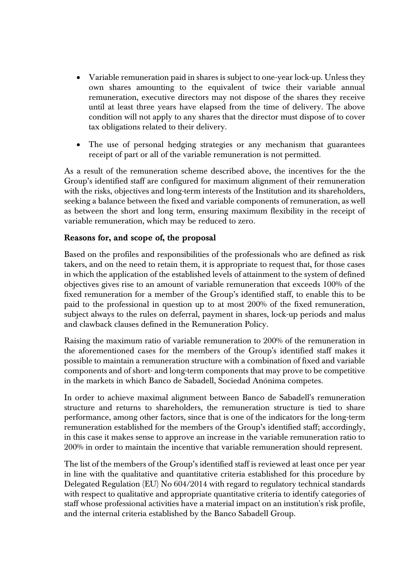- Variable remuneration paid in shares is subject to one-year lock-up. Unless they own shares amounting to the equivalent of twice their variable annual remuneration, executive directors may not dispose of the shares they receive until at least three years have elapsed from the time of delivery. The above condition will not apply to any shares that the director must dispose of to cover tax obligations related to their delivery.
- The use of personal hedging strategies or any mechanism that guarantees receipt of part or all of the variable remuneration is not permitted.

As a result of the remuneration scheme described above, the incentives for the the Group's identified staff are configured for maximum alignment of their remuneration with the risks, objectives and long-term interests of the Institution and its shareholders, seeking a balance between the fixed and variable components of remuneration, as well as between the short and long term, ensuring maximum flexibility in the receipt of variable remuneration, which may be reduced to zero.

## **Reasons for, and scope of, the proposal**

Based on the profiles and responsibilities of the professionals who are defined as risk takers, and on the need to retain them, it is appropriate to request that, for those cases in which the application of the established levels of attainment to the system of defined objectives gives rise to an amount of variable remuneration that exceeds 100% of the fixed remuneration for a member of the Group's identified staff, to enable this to be paid to the professional in question up to at most 200% of the fixed remuneration, subject always to the rules on deferral, payment in shares, lock-up periods and malus and clawback clauses defined in the Remuneration Policy.

Raising the maximum ratio of variable remuneration to 200% of the remuneration in the aforementioned cases for the members of the Group's identified staff makes it possible to maintain a remuneration structure with a combination of fixed and variable components and of short- and long-term components that may prove to be competitive in the markets in which Banco de Sabadell, Sociedad Anónima competes.

In order to achieve maximal alignment between Banco de Sabadell's remuneration structure and returns to shareholders, the remuneration structure is tied to share performance, among other factors, since that is one of the indicators for the long-term remuneration established for the members of the Group's identified staff; accordingly, in this case it makes sense to approve an increase in the variable remuneration ratio to 200% in order to maintain the incentive that variable remuneration should represent.

The list of the members of the Group's identified staff is reviewed at least once per year in line with the qualitative and quantitative criteria established for this procedure by Delegated Regulation (EU) No 604/2014 with regard to regulatory technical standards with respect to qualitative and appropriate quantitative criteria to identify categories of staff whose professional activities have a material impact on an institution's risk profile, and the internal criteria established by the Banco Sabadell Group.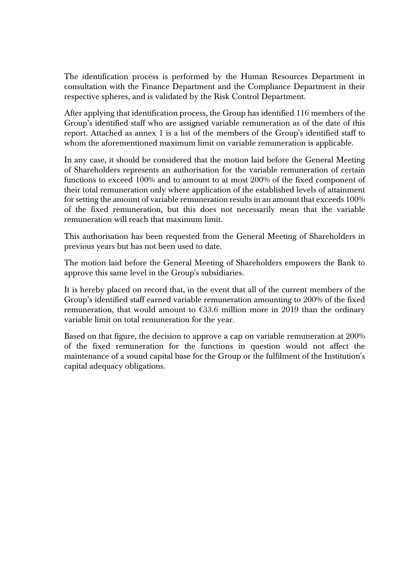The identification process is performed by the Human Resources Department in consultation with the Finance Department and the Compliance Department in their respective spheres, and is validated by the Risk Control Department.

After applying that identification process, the Group has identified 116 members of the Group's identified staff who are assigned variable remuneration as of the date of this report. Attached as annex 1 is a list of the members of the Group's identified staff to whom the aforementioned maximum limit on variable remuneration is applicable.

In any case, it should be considered that the motion laid before the General Meeting of Shareholders represents an authorisation for the variable remuneration of certain functions to exceed 100% and to amount to at most 200% of the fixed component of their total remuneration only where application of the established levels of attainment for setting the amount of variable remuneration results in an amount that exceeds 100% of the fixed remuneration, but this does not necessarily mean that the variable remuneration will reach that maximum limit.

This authorisation has been requested from the General Meeting of Shareholders in previous years but has not been used to date.

The motion laid before the General Meeting of Shareholders empowers the Bank to approve this same level in the Group's subsidiaries.

It is hereby placed on record that, in the event that all of the current members of the Group's identified staff earned variable remuneration amounting to 200% of the fixed remuneration, that would amount to €33.6 million more in 2019 than the ordinary variable limit on total remuneration for the year.

Based on that figure, the decision to approve a cap on variable remuneration at 200% of the fixed remuneration for the functions in question would not affect the maintenance of a sound capital base for the Group or the fulfilment of the Institution's capital adequacy obligations.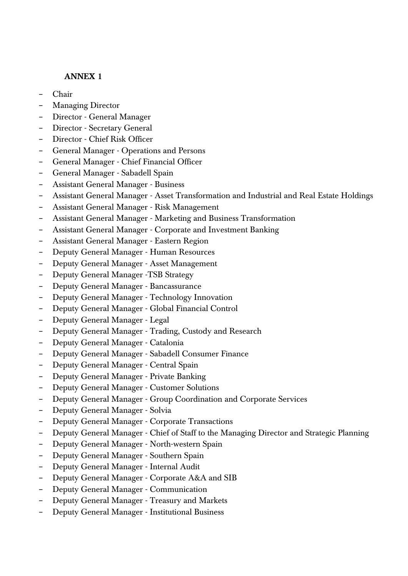## **ANNEX 1**

- − Chair
- − Managing Director
- − Director General Manager
- − Director Secretary General
- − Director Chief Risk Officer
- − General Manager Operations and Persons
- − General Manager Chief Financial Officer
- − General Manager Sabadell Spain
- − Assistant General Manager Business
- − Assistant General Manager Asset Transformation and Industrial and Real Estate Holdings
- − Assistant General Manager Risk Management
- − Assistant General Manager Marketing and Business Transformation
- − Assistant General Manager Corporate and Investment Banking
- − Assistant General Manager Eastern Region
- − Deputy General Manager Human Resources
- − Deputy General Manager Asset Management
- − Deputy General Manager -TSB Strategy
- − Deputy General Manager Bancassurance
- − Deputy General Manager Technology Innovation
- − Deputy General Manager Global Financial Control
- − Deputy General Manager Legal
- − Deputy General Manager Trading, Custody and Research
- − Deputy General Manager Catalonia
- − Deputy General Manager Sabadell Consumer Finance
- − Deputy General Manager Central Spain
- − Deputy General Manager Private Banking
- − Deputy General Manager Customer Solutions
- − Deputy General Manager Group Coordination and Corporate Services
- − Deputy General Manager Solvia
- − Deputy General Manager Corporate Transactions
- − Deputy General Manager Chief of Staff to the Managing Director and Strategic Planning
- − Deputy General Manager North-western Spain
- − Deputy General Manager Southern Spain
- − Deputy General Manager Internal Audit
- − Deputy General Manager Corporate A&A and SIB
- − Deputy General Manager Communication
- − Deputy General Manager Treasury and Markets
- − Deputy General Manager Institutional Business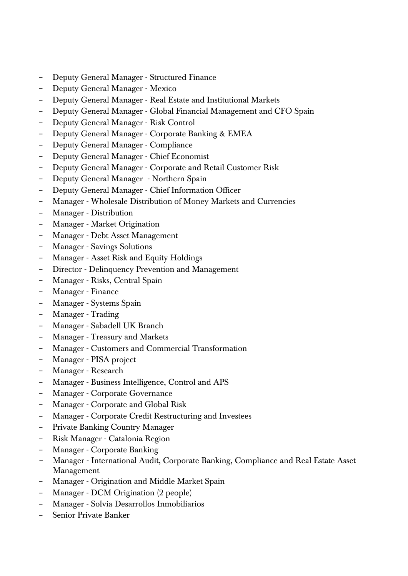- − Deputy General Manager Structured Finance
- − Deputy General Manager Mexico
- − Deputy General Manager Real Estate and Institutional Markets
- − Deputy General Manager Global Financial Management and CFO Spain
- − Deputy General Manager Risk Control
- − Deputy General Manager Corporate Banking & EMEA
- − Deputy General Manager Compliance
- − Deputy General Manager Chief Economist
- − Deputy General Manager Corporate and Retail Customer Risk
- − Deputy General Manager Northern Spain
- − Deputy General Manager Chief Information Officer
- − Manager Wholesale Distribution of Money Markets and Currencies
- − Manager Distribution
- − Manager Market Origination
- − Manager Debt Asset Management
- − Manager Savings Solutions
- − Manager Asset Risk and Equity Holdings
- − Director Delinquency Prevention and Management
- − Manager Risks, Central Spain
- − Manager Finance
- − Manager Systems Spain
- − Manager Trading
- − Manager Sabadell UK Branch
- − Manager Treasury and Markets
- − Manager Customers and Commercial Transformation
- − Manager PISA project
- − Manager Research
- − Manager Business Intelligence, Control and APS
- − Manager Corporate Governance
- − Manager Corporate and Global Risk
- − Manager Corporate Credit Restructuring and Investees
- − Private Banking Country Manager
- − Risk Manager Catalonia Region
- − Manager Corporate Banking
- − Manager International Audit, Corporate Banking, Compliance and Real Estate Asset Management
- − Manager Origination and Middle Market Spain
- − Manager DCM Origination (2 people)
- − Manager Solvia Desarrollos Inmobiliarios
- − Senior Private Banker